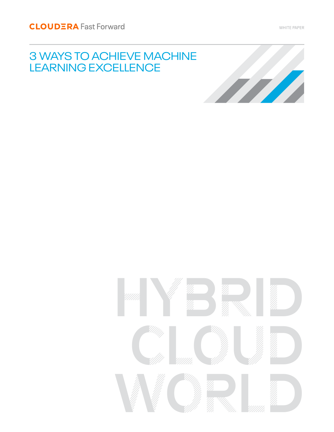# 3 WAYS TO ACHIEVE MACHINE LEARNING EXCELLENCE



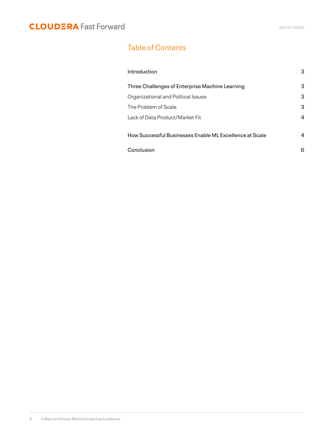### Table of Contents

| Introduction                                            | 3 |
|---------------------------------------------------------|---|
| Three Challenges of Enterprise Machine Learning         | 3 |
| Organizational and Political Issues                     | 3 |
| The Problem of Scale                                    | 3 |
| Lack of Data Product/Market Fit                         | 4 |
| How Successful Businesses Enable ML Excellence at Scale | 4 |
| Conclusion                                              | 6 |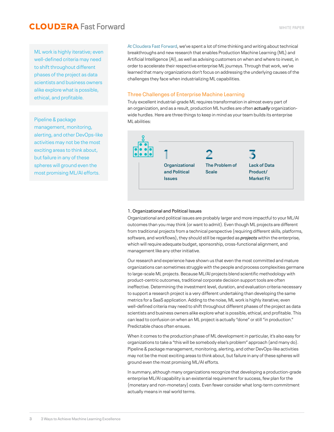ML work is highly iterative; even well-defined criteria may need to shift throughout different phases of the project as data scientists and business owners alike explore what is possible, ethical, and profitable.

### Pipeline & package

management, monitoring, alerting, and other DevOps-like activities may not be the most exciting areas to think about, but failure in any of these spheres will ground even the most promising ML/AI efforts.

[At Cloudera Fast For](https://www.cloudera.com/products/fast-forward-labs-research.html)ward, we've spent a lot of time thinking and writing about technical breakthroughs and new research that enables Production Machine Learning (ML) and Artificial Intelligence (AI), as well as advising customers on when and where to invest, in order to accelerate their respective enterprise ML journeys. Through that work, we've learned that many organizations don't focus on addressing the underlying causes of the challenges they face when industrializing ML capabilities.

### Three Challenges of Enterprise Machine Learning

Truly excellent industrial-grade ML requires transformation in almost every part of an organization, and as a result, production ML hurdles are often *actually* organizationwide hurdles. Here are three things to keep in mind as your team builds its enterprise ML abilities:



#### 1. Organizational and Political Issues

Organizational and political issues are probably larger and more impactful to your ML/AI outcomes than you may think (or want to admit). Even though ML projects are different from traditional projects from a technical perspective (requiring different skills, platforms, software, and workflows), they should still be regarded as *projects* within the enterprise, which will require adequate budget, sponsorship, cross-functional alignment, and management like any other initiative.

Our research and experience have shown us that even the most committed and mature organizations can sometimes struggle with the people and process complexities germane to large-scale ML projects. Because ML/AI projects blend scientific methodology with product-centric outcomes, traditional corporate decision support tools are often ineffective. Determining the investment level, duration, and evaluation criteria necessary to support a research project is a very different undertaking than developing the same metrics for a SaaS application. Adding to the noise, ML work is highly iterative; even well-defined criteria may need to shift throughout different phases of the project as data scientists and business owners alike explore what is possible, ethical, and profitable. This can lead to confusion on when an ML project is actually "done" or still "in production." Predictable chaos often ensues.

When it comes to the production phase of ML development in particular, it's also easy for organizations to take a "this will be somebody else's problem" approach (and many do). Pipeline & package management, monitoring, alerting, and other DevOps-like activities may not be the most exciting areas to think about, but failure in any of these spheres will ground even the most promising ML/AI efforts.

In summary, although many organizations recognize that developing a production-grade enterprise ML/AI capability is an existential requirement for success, few plan for the (monetary and non-monetary) costs. Even fewer consider what long-term commitment actually means in real world terms.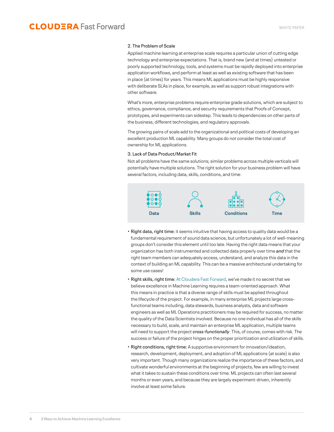#### 2. The Problem of Scale

Applied machine learning at enterprise scale requires a particular union of cutting edge technology and enterprise expectations. That is, brand new (and at times) untested or poorly supported technology, tools, and systems must be rapidly deployed into enterprise application workflows, and perform at least as well as existing software that has been in place (at times) for years. This means ML applications must be highly responsive with deliberate SLAs in place, for example, as well as support robust integrations with other software.

What's more, enterprise problems require enterprise grade solutions, which are subject to ethics, governance, compliance, and security requirements that Proofs of Concept, prototypes, and experiments can sidestep. This leads to dependencies on other parts of the business, different technologies, and regulatory approvals.

The growing pains of scale add to the organizational and political costs of developing an excellent production ML capability. Many groups do not consider the total cost of ownership for ML applications.

#### 3. Lack of Data Product/Market Fit

Not all problems have the same solutions; similar problems across multiple verticals will potentially have multiple solutions. The right solution for your business problem will have several factors, including data, skills, conditions, and time:



- Right data, right time: it seems intuitive that having access to quality data would be a fundamental requirement of sound data science, but unfortunately a lot of well-meaning groups don't consider this element until too late. Having the right data means that your organization has both instrumented and collected data properly over time *and* that the right team members can adequately access, understand, and analyze this data in the context of building an ML capability. This can be a massive architectural undertaking for some use cases!
- Right skills, right time: [At Cloudera Fast For](https://www.cloudera.com/products/fast-forward-labs-research.html)ward, we've made it no secret that we believe excellence in Machine Learning requires a team-oriented approach. What this means in practice is that a diverse range of skills must be applied throughout the lifecycle of the project. For example, in many enterprise ML projects large crossfunctional teams including, data stewards, business analysts, data and software engineers as well as ML Operations practitioners may be required for success, no matter the quality of the Data Scientists involved. Because no one individual has all of the skills necessary to build, scale, and maintain an enterprise ML application, multiple teams will need to support the project *cross-functionally*. This, of course, comes with risk. The success or failure of the project hinges on the proper prioritization and utilization of skills.
- Right conditions, right time: A supportive environment for innovation/ideation, research, development, deployment, and adoption of ML applications (at scale) is also very important. Though many organizations realize the importance of these factors, and cultivate wonderful environments at the beginning of projects, few are willing to invest what it takes to sustain these conditions over time. ML projects can often last several months or even years, and because they are largely experiment-driven, inherently involve at least some failure.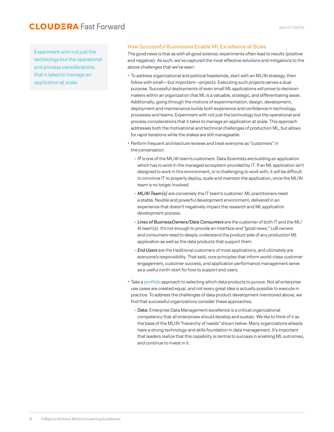### How Successful Businesses Enable ML Excellence at Scale

The good news is that as with all good science, experiments often lead to results (positive and negative). As such, we've captured the most effective solutions and mitigations to the above challenges that we've seen:

- To address organizational and political headwinds, start with an ML/AI strategy, then follow with small—but important—projects. Executing such projects serves a dual purpose. Successful deployments of even small ML applications will prove to decisionmakers within an organization that ML is a valuable, strategic, and differentiating asset. Additionally, going through the motions of experimentation, design, development, deployment and maintenance builds both experience and confidence in technology, processes and teams. Experiment with not just the technology but the operational and process considerations that it takes to manage an application at scale. This approach addresses both the motivational and technical challenges of production ML, but allows for rapid iterations while the stakes are still manageable.
- Perform frequent architecture reviews and treat everyone as "customers" in the conversation.
	- *IT* is one of the ML/AI team's customers. Data Scientists are building an application which has to work in the managed ecosystem provided by IT. If an ML application isn't designed to work in this environment, or is challenging to work with, it will be difficult to convince IT to properly deploy, scale and maintain the application, once the ML/AI team is no longer involved.
	- *ML/AI Team(s)* are conversely the IT team's customer. ML practitioners need a stable, flexible and powerful development environment, delivered in an experience that doesn't negatively impact the research and ML application development process.
	- *Lines of BusinessOwners/Data Consumers* are the customer of both IT and the ML/ AI team(s). It's not enough to provide an interface and "good news;" LoB owners and consumers need to deeply understand the product side of any production ML application as well as the data products that support them.
	- *End Users* are the traditional customers of most applications, and ultimately are everyone's responsibility. That said, core principles that inform world-class customer engagement, customer success, and application performance management serve as a useful north-start for how to support end users.
- Take a [portfolio](https://www.thisismetis.com/blog/demystifying-data-science-recap-breaking-down-hilary-mason-keynote) approach to selecting which data products to pursue. Not all enterprise use cases are created equal, and not every great idea is actually possible to execute in practice. To address the challenges of data product development mentioned above, we find that successful organizations consider these approaches.
	- Data: Enterprise Data Management excellence is a critical organizational competency that all enterprises should develop and sustain. We like to think of it as the base of the ML/AI "hierarchy of needs" shown below. Many organizations already have a strong technology and skills foundation in data management. It's important that leaders realize that this capability is central to success in enabling ML outcomes, and continue to invest in it.